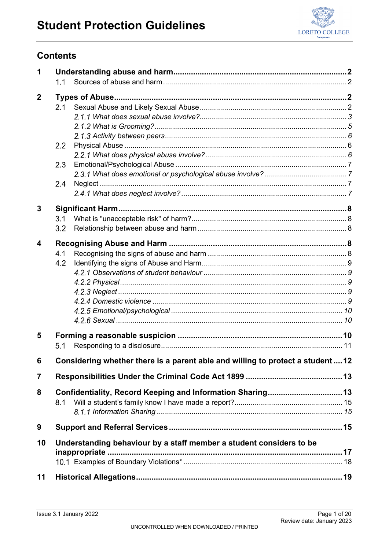

## **Contents**

| 1              |                                                                     |                                                                                 |  |  |  |
|----------------|---------------------------------------------------------------------|---------------------------------------------------------------------------------|--|--|--|
|                | 1.1                                                                 |                                                                                 |  |  |  |
| $\mathbf{2}$   |                                                                     |                                                                                 |  |  |  |
|                | 2.1                                                                 |                                                                                 |  |  |  |
|                |                                                                     |                                                                                 |  |  |  |
|                |                                                                     |                                                                                 |  |  |  |
|                |                                                                     |                                                                                 |  |  |  |
|                | 2.2                                                                 |                                                                                 |  |  |  |
|                |                                                                     |                                                                                 |  |  |  |
|                | 2.3                                                                 |                                                                                 |  |  |  |
|                |                                                                     |                                                                                 |  |  |  |
|                | 2.4                                                                 |                                                                                 |  |  |  |
|                |                                                                     |                                                                                 |  |  |  |
| 3              |                                                                     |                                                                                 |  |  |  |
|                | 3.1                                                                 |                                                                                 |  |  |  |
|                | 3.2                                                                 |                                                                                 |  |  |  |
| 4              |                                                                     |                                                                                 |  |  |  |
|                | 4.1                                                                 |                                                                                 |  |  |  |
|                | 4.2                                                                 |                                                                                 |  |  |  |
|                |                                                                     |                                                                                 |  |  |  |
|                |                                                                     |                                                                                 |  |  |  |
|                |                                                                     |                                                                                 |  |  |  |
|                |                                                                     |                                                                                 |  |  |  |
|                |                                                                     |                                                                                 |  |  |  |
|                |                                                                     |                                                                                 |  |  |  |
|                |                                                                     |                                                                                 |  |  |  |
| 5              |                                                                     |                                                                                 |  |  |  |
|                | 5.1                                                                 |                                                                                 |  |  |  |
| 6              |                                                                     | Considering whether there is a parent able and willing to protect a student  12 |  |  |  |
| $\overline{7}$ |                                                                     |                                                                                 |  |  |  |
| 8              |                                                                     |                                                                                 |  |  |  |
|                | 8.1                                                                 |                                                                                 |  |  |  |
|                |                                                                     |                                                                                 |  |  |  |
| 9              |                                                                     |                                                                                 |  |  |  |
| 10             | Understanding behaviour by a staff member a student considers to be |                                                                                 |  |  |  |
|                |                                                                     |                                                                                 |  |  |  |
|                |                                                                     |                                                                                 |  |  |  |
| 11             |                                                                     |                                                                                 |  |  |  |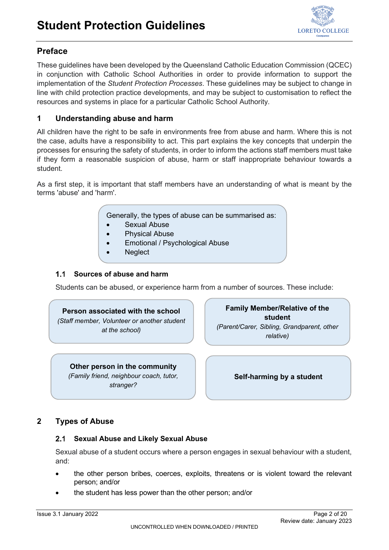

## **Preface**

These guidelines have been developed by the Queensland Catholic Education Commission (QCEC) in conjunction with Catholic School Authorities in order to provide information to support the implementation of the *Student Protection Processes*. These guidelines may be subject to change in line with child protection practice developments, and may be subject to customisation to reflect the resources and systems in place for a particular Catholic School Authority.

### <span id="page-1-0"></span>**1 Understanding abuse and harm**

All children have the right to be safe in environments free from abuse and harm. Where this is not the case, adults have a responsibility to act. This part explains the key concepts that underpin the processes for ensuring the safety of students, in order to inform the actions staff members must take if they form a reasonable suspicion of abuse, harm or staff inappropriate behaviour towards a student.

As a first step, it is important that staff members have an understanding of what is meant by the terms 'abuse' and 'harm'.

Generally, the types of abuse can be summarised as:

- Sexual Abuse
- Physical Abuse
- Emotional / Psychological Abuse
- Neglect

### <span id="page-1-1"></span>**Sources of abuse and harm**

Students can be abused, or experience harm from a number of sources. These include:

**Person associated with the school** *(Staff member, Volunteer or another student at the school)*

**Other person in the community** *(Family friend, neighbour coach, tutor, stranger?*

**Family Member/Relative of the student** *(Parent/Carer, Sibling, Grandparent, other relative)*

**Self-harming by a student**

### <span id="page-1-3"></span><span id="page-1-2"></span>**2 Types of Abuse**

### **Sexual Abuse and Likely Sexual Abuse**

Sexual abuse of a student occurs where a person engages in sexual behaviour with a student, and:

- the other person bribes, coerces, exploits, threatens or is violent toward the relevant person; and/or
- the student has less power than the other person; and/or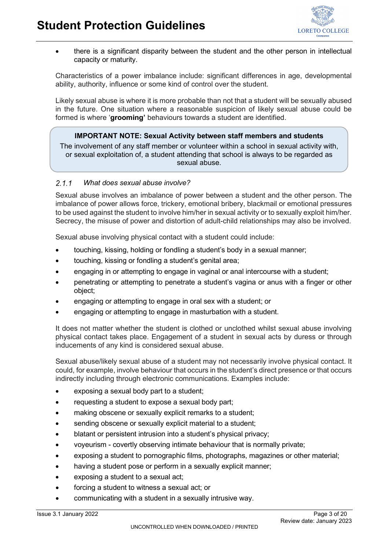

• there is a significant disparity between the student and the other person in intellectual capacity or maturity.

Characteristics of a power imbalance include: significant differences in age, developmental ability, authority, influence or some kind of control over the student.

Likely sexual abuse is where it is more probable than not that a student will be sexually abused in the future. One situation where a reasonable suspicion of likely sexual abuse could be formed is where '**grooming'** behaviours towards a student are identified.

**IMPORTANT NOTE: Sexual Activity between staff members and students** The involvement of any staff member or volunteer within a school in sexual activity with, or sexual exploitation of, a student attending that school is always to be regarded as

sexual abuse.

#### <span id="page-2-0"></span> $2.1.1$ *What does sexual abuse involve?*

Sexual abuse involves an imbalance of power between a student and the other person. The imbalance of power allows force, trickery, emotional bribery, blackmail or emotional pressures to be used against the student to involve him/her in sexual activity or to sexually exploit him/her. Secrecy, the misuse of power and distortion of adult-child relationships may also be involved.

Sexual abuse involving physical contact with a student could include:

- touching, kissing, holding or fondling a student's body in a sexual manner;
- touching, kissing or fondling a student's genital area;
- engaging in or attempting to engage in vaginal or anal intercourse with a student;
- penetrating or attempting to penetrate a student's vagina or anus with a finger or other object;
- engaging or attempting to engage in oral sex with a student; or
- engaging or attempting to engage in masturbation with a student.

It does not matter whether the student is clothed or unclothed whilst sexual abuse involving physical contact takes place. Engagement of a student in sexual acts by duress or through inducements of any kind is considered sexual abuse.

Sexual abuse/likely sexual abuse of a student may not necessarily involve physical contact. It could, for example, involve behaviour that occurs in the student's direct presence or that occurs indirectly including through electronic communications. Examples include:

- exposing a sexual body part to a student;
- requesting a student to expose a sexual body part;
- making obscene or sexually explicit remarks to a student;
- sending obscene or sexually explicit material to a student;
- blatant or persistent intrusion into a student's physical privacy;
- voyeurism covertly observing intimate behaviour that is normally private;
- exposing a student to pornographic films, photographs, magazines or other material;
- having a student pose or perform in a sexually explicit manner;
- exposing a student to a sexual act;
- forcing a student to witness a sexual act; or
- communicating with a student in a sexually intrusive way.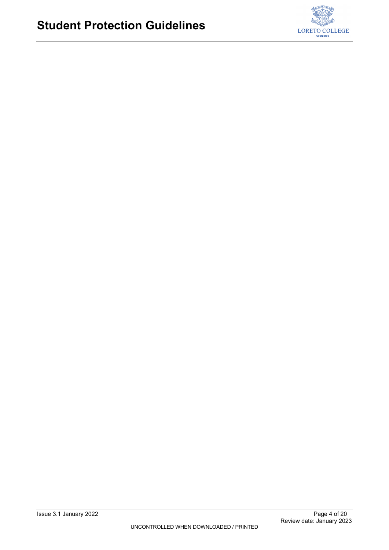<span id="page-3-0"></span>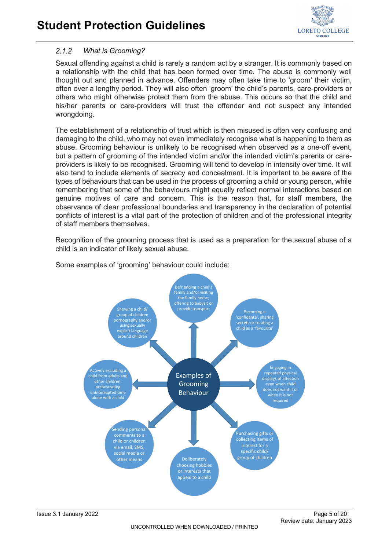

#### $2.1.2$ *What is Grooming?*

Sexual offending against a child is rarely a random act by a stranger. It is commonly based on a relationship with the child that has been formed over time. The abuse is commonly well thought out and planned in advance. Offenders may often take time to 'groom' their victim, often over a lengthy period. They will also often 'groom' the child's parents, care-providers or others who might otherwise protect them from the abuse. This occurs so that the child and his/her parents or care-providers will trust the offender and not suspect any intended wrongdoing.

The establishment of a relationship of trust which is then misused is often very confusing and damaging to the child, who may not even immediately recognise what is happening to them as abuse. Grooming behaviour is unlikely to be recognised when observed as a one-off event, but a pattern of grooming of the intended victim and/or the intended victim's parents or careproviders is likely to be recognised. Grooming will tend to develop in intensity over time. It will also tend to include elements of secrecy and concealment. It is important to be aware of the types of behaviours that can be used in the process of grooming a child or young person, while remembering that some of the behaviours might equally reflect normal interactions based on genuine motives of care and concern. This is the reason that, for staff members, the observance of clear professional boundaries and transparency in the declaration of potential conflicts of interest is a vital part of the protection of children and of the professional integrity of staff members themselves.

Recognition of the grooming process that is used as a preparation for the sexual abuse of a child is an indicator of likely sexual abuse.



Some examples of 'grooming' behaviour could include: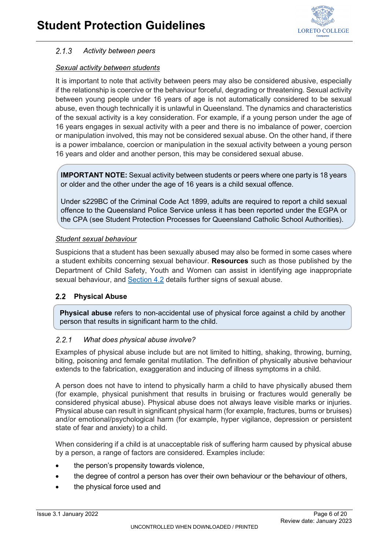

#### <span id="page-5-0"></span> $2.1.3$ *Activity between peers*

### *Sexual activity between students*

It is important to note that activity between peers may also be considered abusive, especially if the relationship is coercive or the behaviour forceful, degrading or threatening. Sexual activity between young people under 16 years of age is not automatically considered to be sexual abuse, even though technically it is unlawful in Queensland. The dynamics and characteristics of the sexual activity is a key consideration. For example, if a young person under the age of 16 years engages in sexual activity with a peer and there is no imbalance of power, coercion or manipulation involved, this may not be considered sexual abuse. On the other hand, if there is a power imbalance, coercion or manipulation in the sexual activity between a young person 16 years and older and another person, this may be considered sexual abuse.

**IMPORTANT NOTE:** Sexual activity between students or peers where one party is 18 years or older and the other under the age of 16 years is a child sexual offence.

Under s229BC of the Criminal Code Act 1899, adults are required to report a child sexual offence to the Queensland Police Service unless it has been reported under the EGPA or the CPA (see Student Protection Processes for Queensland Catholic School Authorities).

### *Student sexual behaviour*

Suspicions that a student has been sexually abused may also be formed in some cases where a student exhibits concerning sexual behaviour. **Resources** such as those published by the Department of Child Safety, Youth and Women can assist in identifying age inappropriate sexual behaviour, and **Section 4.2** details further signs of sexual abuse.

### <span id="page-5-1"></span>**Physical Abuse**

**Physical abuse** refers to non-accidental use of physical force against a child by another person that results in significant harm to the child.

#### <span id="page-5-2"></span> $2.2.1$ *What does physical abuse involve?*

Examples of physical abuse include but are not limited to hitting, shaking, throwing, burning, biting, poisoning and female genital mutilation. The definition of physically abusive behaviour extends to the fabrication, exaggeration and inducing of illness symptoms in a child.

A person does not have to intend to physically harm a child to have physically abused them (for example, physical punishment that results in bruising or fractures would generally be considered physical abuse). Physical abuse does not always leave visible marks or injuries. Physical abuse can result in significant physical harm (for example, fractures, burns or bruises) and/or emotional/psychological harm (for example, hyper vigilance, depression or persistent state of fear and anxiety) to a child.

When considering if a child is at unacceptable risk of suffering harm caused by physical abuse by a person, a range of factors are considered. Examples include:

- the person's propensity towards violence,
- the degree of control a person has over their own behaviour or the behaviour of others,
- the physical force used and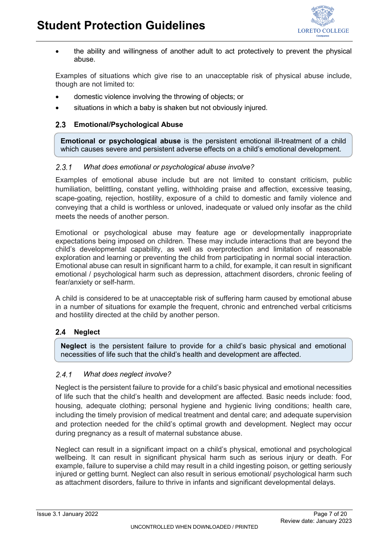

• the ability and willingness of another adult to act protectively to prevent the physical abuse.

Examples of situations which give rise to an unacceptable risk of physical abuse include, though are not limited to:

- domestic violence involving the throwing of objects; or
- situations in which a baby is shaken but not obviously injured.

### <span id="page-6-0"></span>**Emotional/Psychological Abuse**

**Emotional or psychological abuse** is the persistent emotional ill-treatment of a child which causes severe and persistent adverse effects on a child's emotional development.

#### <span id="page-6-1"></span> $2.3.1$ *What does emotional or psychological abuse involve?*

Examples of emotional abuse include but are not limited to constant criticism, public humiliation, belittling, constant yelling, withholding praise and affection, excessive teasing, scape-goating, rejection, hostility, exposure of a child to domestic and family violence and conveying that a child is worthless or unloved, inadequate or valued only insofar as the child meets the needs of another person.

Emotional or psychological abuse may feature age or developmentally inappropriate expectations being imposed on children. These may include interactions that are beyond the child's developmental capability, as well as overprotection and limitation of reasonable exploration and learning or preventing the child from participating in normal social interaction. Emotional abuse can result in significant harm to a child, for example, it can result in significant emotional / psychological harm such as depression, attachment disorders, chronic feeling of fear/anxiety or self-harm.

A child is considered to be at unacceptable risk of suffering harm caused by emotional abuse in a number of situations for example the frequent, chronic and entrenched verbal criticisms and hostility directed at the child by another person.

### <span id="page-6-2"></span>2.4 Neglect

**Neglect** is the persistent failure to provide for a child's basic physical and emotional necessities of life such that the child's health and development are affected.

#### <span id="page-6-3"></span> $2.4.1$ *What does neglect involve?*

Neglect is the persistent failure to provide for a child's basic physical and emotional necessities of life such that the child's health and development are affected. Basic needs include: food, housing, adequate clothing; personal hygiene and hygienic living conditions; health care, including the timely provision of medical treatment and dental care; and adequate supervision and protection needed for the child's optimal growth and development. Neglect may occur during pregnancy as a result of maternal substance abuse.

Neglect can result in a significant impact on a child's physical, emotional and psychological wellbeing. It can result in significant physical harm such as serious injury or death. For example, failure to supervise a child may result in a child ingesting poison, or getting seriously injured or getting burnt. Neglect can also result in serious emotional/ psychological harm such as attachment disorders, failure to thrive in infants and significant developmental delays.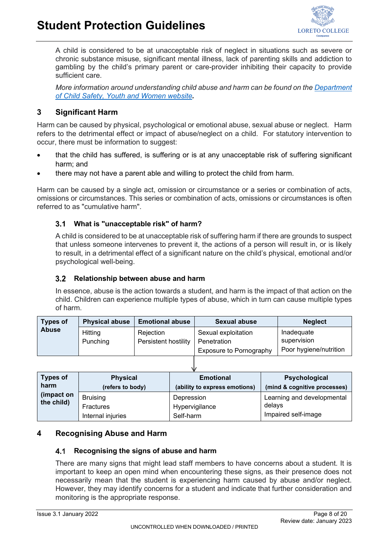

A child is considered to be at unacceptable risk of neglect in situations such as severe or chronic substance misuse, significant mental illness, lack of parenting skills and addiction to gambling by the child's primary parent or care-provider inhibiting their capacity to provide sufficient care.

*More information around understanding child abuse and harm can be found on the [Department](https://www.csyw.qld.gov.au/child-family/protecting-children)  [of Child Safety, Youth and Women](https://www.csyw.qld.gov.au/child-family/protecting-children) website.*

### <span id="page-7-0"></span>**3 Significant Harm**

Harm can be caused by physical, psychological or emotional abuse, sexual abuse or neglect. Harm refers to the detrimental effect or impact of abuse/neglect on a child. For statutory intervention to occur, there must be information to suggest:

- that the child has suffered, is suffering or is at any unacceptable risk of suffering significant harm; and
- there may not have a parent able and willing to protect the child from harm.

Harm can be caused by a single act, omission or circumstance or a series or combination of acts, omissions or circumstances. This series or combination of acts, omissions or circumstances is often referred to as "cumulative harm".

### <span id="page-7-1"></span>**What is "unacceptable risk" of harm?**

A child is considered to be at unacceptable risk of suffering harm if there are grounds to suspect that unless someone intervenes to prevent it, the actions of a person will result in, or is likely to result, in a detrimental effect of a significant nature on the child's physical, emotional and/or psychological well-being.

### <span id="page-7-2"></span>**Relationship between abuse and harm**

In essence, abuse is the action towards a student, and harm is the impact of that action on the child. Children can experience multiple types of abuse, which in turn can cause multiple types of harm.

| <b>Types of</b> | <b>Physical abuse</b> | <b>Emotional abuse</b> | <b>Sexual abuse</b>     | <b>Neglect</b>         |
|-----------------|-----------------------|------------------------|-------------------------|------------------------|
| <b>Abuse</b>    | Hitting               | Rejection              | Sexual exploitation     | Inadequate             |
|                 | Punching              | Persistent hostility   | Penetration             | supervision            |
|                 |                       |                        | Exposure to Pornography | Poor hygiene/nutrition |
|                 |                       |                        |                         |                        |

 $\overline{1}$ 

| <b>Types of</b>          | <b>Physical</b>   | <b>Emotional</b>              | Psychological                |  |  |
|--------------------------|-------------------|-------------------------------|------------------------------|--|--|
| harm                     | (refers to body)  | (ability to express emotions) | (mind & cognitive processes) |  |  |
| (impact on<br>the child) | <b>Bruising</b>   | Depression                    | Learning and developmental   |  |  |
|                          | <b>Fractures</b>  | Hypervigilance                | delays                       |  |  |
|                          | Internal injuries | Self-harm                     | Impaired self-image          |  |  |

### <span id="page-7-4"></span><span id="page-7-3"></span>**4 Recognising Abuse and Harm**

### **Recognising the signs of abuse and harm**

There are many signs that might lead staff members to have concerns about a student. It is important to keep an open mind when encountering these signs, as their presence does not necessarily mean that the student is experiencing harm caused by abuse and/or neglect. However, they may identify concerns for a student and indicate that further consideration and monitoring is the appropriate response.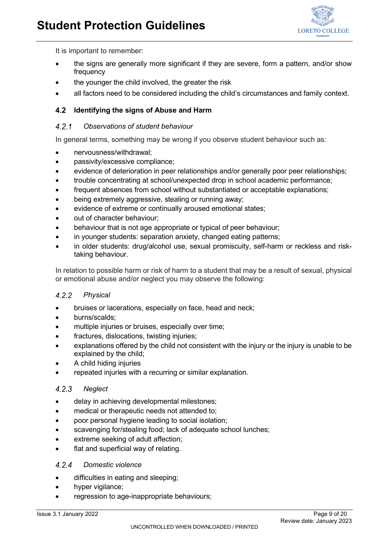

It is important to remember:

- the signs are generally more significant if they are severe, form a pattern, and/or show frequency
- the younger the child involved, the greater the risk
- all factors need to be considered including the child's circumstances and family context.

### <span id="page-8-0"></span>**Identifying the signs of Abuse and Harm**

#### <span id="page-8-1"></span> $4.2.1$ *Observations of student behaviour*

In general terms, something may be wrong if you observe student behaviour such as:

- nervousness/withdrawal;
- passivity/excessive compliance;
- evidence of deterioration in peer relationships and/or generally poor peer relationships;
- trouble concentrating at school/unexpected drop in school academic performance;
- frequent absences from school without substantiated or acceptable explanations;
- being extremely aggressive, stealing or running away;
- evidence of extreme or continually aroused emotional states;
- out of character behaviour;
- behaviour that is not age appropriate or typical of peer behaviour;
- in younger students: separation anxiety, changed eating patterns;
- in older students: drug/alcohol use, sexual promiscuity, self-harm or reckless and risktaking behaviour.

In relation to possible harm or risk of harm to a student that may be a result of sexual, physical or emotional abuse and/or neglect you may observe the following:

### <span id="page-8-2"></span> *Physical*

- bruises or lacerations, especially on face, head and neck;
- burns/scalds;
- multiple injuries or bruises, especially over time;
- fractures, dislocations, twisting injuries;
- explanations offered by the child not consistent with the injury or the injury is unable to be explained by the child;
- A child hiding injuries
- repeated injuries with a recurring or similar explanation.

#### <span id="page-8-3"></span> $4.2.3$ *Neglect*

- delay in achieving developmental milestones;
- medical or therapeutic needs not attended to;
- poor personal hygiene leading to social isolation;
- scavenging for/stealing food; lack of adequate school lunches;
- extreme seeking of adult affection;
- flat and superficial way of relating.

#### <span id="page-8-4"></span> $4.2.4$ *Domestic violence*

- difficulties in eating and sleeping;
- hyper vigilance;
- regression to age-inappropriate behaviours;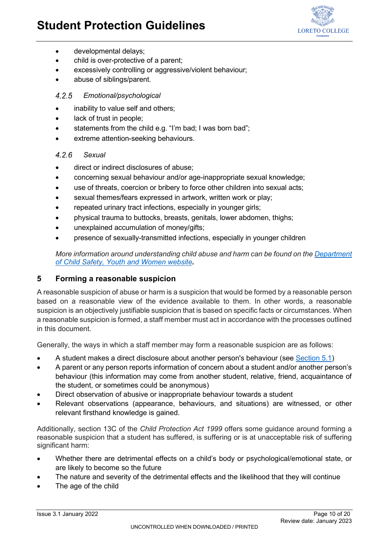

- developmental delays;
- child is over-protective of a parent;
- excessively controlling or aggressive/violent behaviour;
- abuse of siblings/parent.

#### <span id="page-9-0"></span> $4.2.5$ *Emotional/psychological*

- inability to value self and others;
- lack of trust in people;
- statements from the child e.g. "I'm bad; I was born bad";
- extreme attention-seeking behaviours.

#### <span id="page-9-1"></span> $4.2.6$ *Sexual*

- direct or indirect disclosures of abuse;
- concerning sexual behaviour and/or age-inappropriate sexual knowledge;
- use of threats, coercion or bribery to force other children into sexual acts;
- sexual themes/fears expressed in artwork, written work or play;
- repeated urinary tract infections, especially in younger girls;
- physical trauma to buttocks, breasts, genitals, lower abdomen, thighs;
- unexplained accumulation of money/gifts;
- presence of sexually-transmitted infections, especially in younger children

*More information around understanding child abuse and harm can be found on the [Department](https://www.csyw.qld.gov.au/child-family/protecting-children)  [of Child Safety, Youth and Women website](https://www.csyw.qld.gov.au/child-family/protecting-children).* 

### <span id="page-9-2"></span>**5 Forming a reasonable suspicion**

A reasonable suspicion of abuse or harm is a suspicion that would be formed by a reasonable person based on a reasonable view of the evidence available to them. In other words, a reasonable suspicion is an objectively justifiable suspicion that is based on specific facts or circumstances. When a reasonable suspicion is formed, a staff member must act in accordance with the processes outlined in this document.

Generally, the ways in which a staff member may form a reasonable suspicion are as follows:

- A student makes a direct disclosure about another person's behaviour (see Section 5.1)
- A parent or any person reports information of concern about a student and/or another person's behaviour (this information may come from another student, relative, friend, acquaintance of the student, or sometimes could be anonymous)
- Direct observation of abusive or inappropriate behaviour towards a student
- Relevant observations (appearance, behaviours, and situations) are witnessed, or other relevant firsthand knowledge is gained.

Additionally, section 13C of the *Child Protection Act 1999* offers some guidance around forming a reasonable suspicion that a student has suffered, is suffering or is at unacceptable risk of suffering significant harm:

- Whether there are detrimental effects on a child's body or psychological/emotional state, or are likely to become so the future
- The nature and severity of the detrimental effects and the likelihood that they will continue
- The age of the child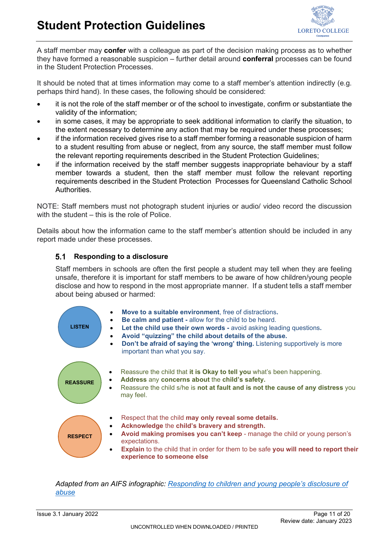

A staff member may **confer** with a colleague as part of the decision making process as to whether they have formed a reasonable suspicion – further detail around **conferral** processes can be found in the Student Protection Processes.

It should be noted that at times information may come to a staff member's attention indirectly (e.g. perhaps third hand). In these cases, the following should be considered:

- it is not the role of the staff member or of the school to investigate, confirm or substantiate the validity of the information;
- in some cases, it may be appropriate to seek additional information to clarify the situation, to the extent necessary to determine any action that may be required under these processes;
- if the information received gives rise to a staff member forming a reasonable suspicion of harm to a student resulting from abuse or neglect, from any source, the staff member must follow the relevant reporting requirements described in the Student Protection Guidelines;
- if the information received by the staff member suggests inappropriate behaviour by a staff member towards a student, then the staff member must follow the relevant reporting requirements described in the Student Protection Processes for Queensland Catholic School Authorities.

NOTE: Staff members must not photograph student injuries or audio/ video record the discussion with the student – this is the role of Police.

Details about how the information came to the staff member's attention should be included in any report made under these processes.

#### <span id="page-10-0"></span> $5.1$ **Responding to a disclosure**

Staff members in schools are often the first people a student may tell when they are feeling unsafe, therefore it is important for staff members to be aware of how children/young people disclose and how to respond in the most appropriate manner. If a student tells a staff member about being abused or harmed:



*Adapted from an AIFS infographic: [Responding to children and young people's disclosure of](https://aifs.gov.au/cfca/sites/default/files/disclosure-infographic.pdf)  [abuse](https://aifs.gov.au/cfca/sites/default/files/disclosure-infographic.pdf)*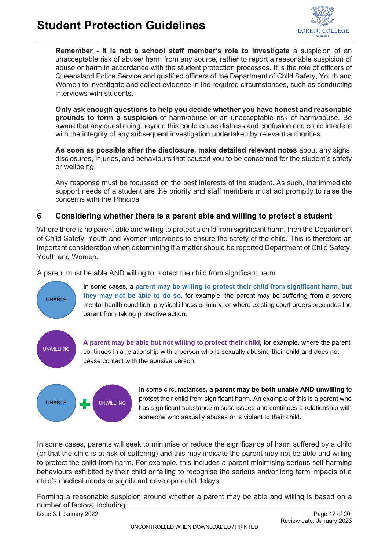

**Remember - it is not a school staff member's role to investigate** a suspicion of an unacceptable risk of abuse/ harm from any source, rather to report a reasonable suspicion of abuse or harm in accordance with the student protection processes. It is the role of officers of Queensland Police Service and qualified officers of the Department of Child Safety, Youth and Women to investigate and collect evidence in the required circumstances, such as conducting interviews with students.

**Only ask enough questions to help you decide whether you have honest and reasonable grounds to form a suspicion** of harm/abuse or an unacceptable risk of harm/abuse. Be aware that any questioning beyond this could cause distress and confusion and could interfere with the integrity of any subsequent investigation undertaken by relevant authorities.

**As soon as possible after the disclosure, make detailed relevant notes** about any signs, disclosures, injuries, and behaviours that caused you to be concerned for the student's safety or wellbeing.

Any response must be focussed on the best interests of the student. As such, the immediate support needs of a student are the priority and staff members must act promptly to raise the concerns with the Principal.

### <span id="page-11-0"></span>**6 Considering whether there is a parent able and willing to protect a student**

Where there is no parent able and willing to protect a child from significant harm, then the Department of Child Safety, Youth and Women intervenes to ensure the safety of the child. This is therefore an important consideration when determining if a matter should be reported Department of Child Safety, Youth and Women.

A parent must be able AND willing to protect the child from significant harm.



In some cases, parents will seek to minimise or reduce the significance of harm suffered by a child (or that the child is at risk of suffering) and this may indicate the parent may not be able and willing to protect the child from harm. For example, this includes a parent minimising serious self-harming behaviours exhibited by their child or failing to recognise the serious and/or long term impacts of a child's medical needs or significant developmental delays.

Forming a reasonable suspicion around whether a parent may be able and willing is based on a number of factors, including: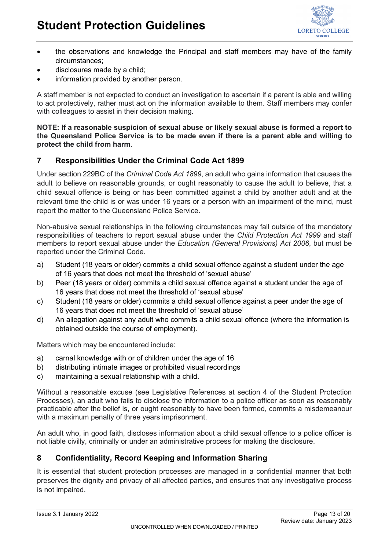

- the observations and knowledge the Principal and staff members may have of the family circumstances;
- disclosures made by a child;
- information provided by another person.

A staff member is not expected to conduct an investigation to ascertain if a parent is able and willing to act protectively, rather must act on the information available to them. Staff members may confer with colleagues to assist in their decision making.

**NOTE: If a reasonable suspicion of sexual abuse or likely sexual abuse is formed a report to the Queensland Police Service is to be made even if there is a parent able and willing to protect the child from harm**.

### <span id="page-12-0"></span>**7 Responsibilities Under the Criminal Code Act 1899**

Under section 229BC of the *Criminal Code Act 1899*, an adult who gains information that causes the adult to believe on reasonable grounds, or ought reasonably to cause the adult to believe, that a child sexual offence is being or has been committed against a child by another adult and at the relevant time the child is or was under 16 years or a person with an impairment of the mind, must report the matter to the Queensland Police Service.

Non-abusive sexual relationships in the following circumstances may fall outside of the mandatory responsibilities of teachers to report sexual abuse under the *Child Protection Act 1999* and staff members to report sexual abuse under the *Education (General Provisions) Act 2006*, but must be reported under the Criminal Code.

- a) Student (18 years or older) commits a child sexual offence against a student under the age of 16 years that does not meet the threshold of 'sexual abuse'
- b) Peer (18 years or older) commits a child sexual offence against a student under the age of 16 years that does not meet the threshold of 'sexual abuse'
- c) Student (18 years or older) commits a child sexual offence against a peer under the age of 16 years that does not meet the threshold of 'sexual abuse'
- d) An allegation against any adult who commits a child sexual offence (where the information is obtained outside the course of employment).

Matters which may be encountered include:

- a) carnal knowledge with or of children under the age of 16
- b) distributing intimate images or prohibited visual recordings
- c) maintaining a sexual relationship with a child.

Without a reasonable excuse (see Legislative References at section 4 of the Student Protection Processes), an adult who fails to disclose the information to a police officer as soon as reasonably practicable after the belief is, or ought reasonably to have been formed, commits a misdemeanour with a maximum penalty of three years imprisonment.

An adult who, in good faith, discloses information about a child sexual offence to a police officer is not liable civilly, criminally or under an administrative process for making the disclosure.

### <span id="page-12-1"></span>**8 Confidentiality, Record Keeping and Information Sharing**

It is essential that student protection processes are managed in a confidential manner that both preserves the dignity and privacy of all affected parties, and ensures that any investigative process is not impaired.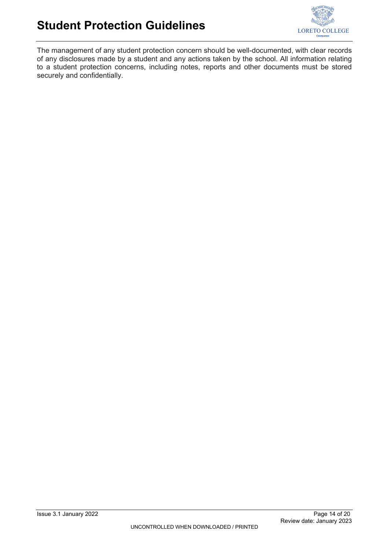

<span id="page-13-0"></span>The management of any student protection concern should be well-documented, with clear records of any disclosures made by a student and any actions taken by the school. All information relating to a student protection concerns, including notes, reports and other documents must be stored securely and confidentially.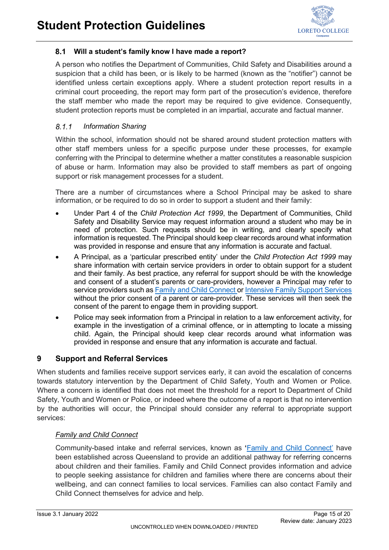

### **Will a student's family know I have made a report?**

A person who notifies the Department of Communities, Child Safety and Disabilities around a suspicion that a child has been, or is likely to be harmed (known as the "notifier") cannot be identified unless certain exceptions apply. Where a student protection report results in a criminal court proceeding, the report may form part of the prosecution's evidence, therefore the staff member who made the report may be required to give evidence. Consequently, student protection reports must be completed in an impartial, accurate and factual manner.

#### <span id="page-14-0"></span>*Information Sharing*  $8.1.1$

Within the school, information should not be shared around student protection matters with other staff members unless for a specific purpose under these processes, for example conferring with the Principal to determine whether a matter constitutes a reasonable suspicion of abuse or harm. Information may also be provided to staff members as part of ongoing support or risk management processes for a student.

There are a number of circumstances where a School Principal may be asked to share information, or be required to do so in order to support a student and their family:

- Under Part 4 of the *Child Protection Act 1999*, the Department of Communities, Child Safety and Disability Service may request information around a student who may be in need of protection. Such requests should be in writing, and clearly specify what information is requested. The Principal should keep clear records around what information was provided in response and ensure that any information is accurate and factual.
- A Principal, as a 'particular prescribed entity' under the *Child Protection Act 1999* may share information with certain service providers in order to obtain support for a student and their family. As best practice, any referral for support should be with the knowledge and consent of a student's parents or care-providers, however a Principal may refer to service providers such as [Family and Child Connect](http://familychildconnect.org.au/) or [Intensive Family Support Services](https://ifss.net.au/) without the prior consent of a parent or care-provider. These services will then seek the consent of the parent to engage them in providing support.
- Police may seek information from a Principal in relation to a law enforcement activity, for example in the investigation of a criminal offence, or in attempting to locate a missing child. Again, the Principal should keep clear records around what information was provided in response and ensure that any information is accurate and factual.

### <span id="page-14-1"></span>**9 Support and Referral Services**

When students and families receive support services early, it can avoid the escalation of concerns towards statutory intervention by the Department of Child Safety, Youth and Women or Police. Where a concern is identified that does not meet the threshold for a report to Department of Child Safety, Youth and Women or Police, or indeed where the outcome of a report is that no intervention by the authorities will occur, the Principal should consider any referral to appropriate support services:

### *Family and Child Connect*

Community-based intake and referral services, known as **'**[Family and Child Connect'](http://www.familychildconnect.org.au/index.asp) have been established across Queensland to provide an additional pathway for referring concerns about children and their families. Family and Child Connect provides information and advice to people seeking assistance for children and families where there are concerns about their wellbeing, and can connect families to local services. Families can also contact Family and Child Connect themselves for advice and help.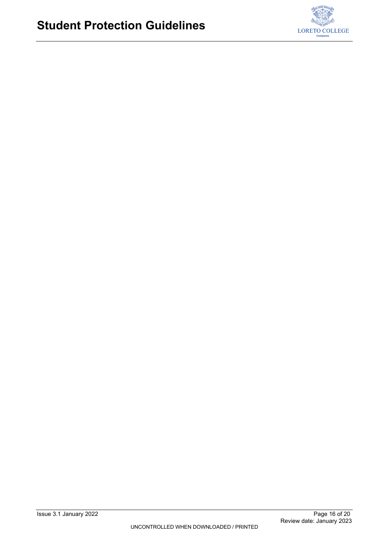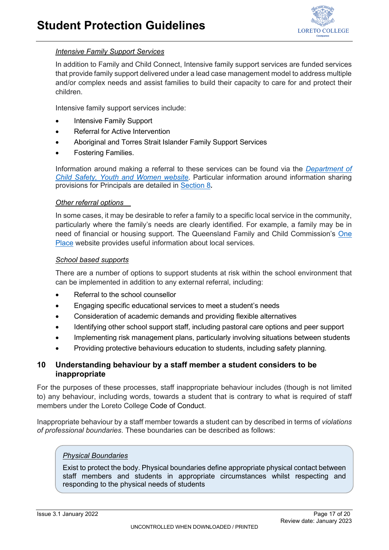

### *Intensive Family Support Services*

In addition to Family and Child Connect, Intensive family support services are funded services that provide family support delivered under a lead case management model to address multiple and/or complex needs and assist families to build their capacity to care for and protect their children.

Intensive family support services include:

- Intensive Family Support
- Referral for Active Intervention
- Aboriginal and Torres Strait Islander Family Support Services
- Fostering Families.

Information around making a referral to these services can be found via the *[Department of](https://www.csyw.qld.gov.au/child-family/protecting-children)  [Child Safety, Youth and Women](https://www.csyw.qld.gov.au/child-family/protecting-children) website*. Particular information around information sharing provisions for Principals are detailed in [Section](#page-14-0) 8*.*

### *Other referral options*

In some cases, it may be desirable to refer a family to a specific local service in the community, particularly where the family's needs are clearly identified. For example, a family may be in need of financial or housing support. The Queensland Family and Child Commission's [One](https://www.oneplace.org.au/)  [Place](https://www.oneplace.org.au/) website provides useful information about local services.

### *School based supports*

There are a number of options to support students at risk within the school environment that can be implemented in addition to any external referral, including:

- Referral to the school counsellor
- Engaging specific educational services to meet a student's needs
- Consideration of academic demands and providing flexible alternatives
- Identifying other school support staff, including pastoral care options and peer support
- Implementing risk management plans, particularly involving situations between students
- Providing protective behaviours education to students, including safety planning.

### <span id="page-16-0"></span>**10 Understanding behaviour by a staff member a student considers to be inappropriate**

For the purposes of these processes, staff inappropriate behaviour includes (though is not limited to) any behaviour, including words, towards a student that is contrary to what is required of staff members under the Loreto College [Code](https://loretocollegecooparoo.sharepoint.com/sites/HumanResources/Shared%20Documents/Policies%20&%20Procedures/P1.05%20Professional%20Conduct%20Policy%20Draft%2011.9.18.docx) of Conduct.

Inappropriate behaviour by a staff member towards a student can by described in terms of *violations of professional boundaries*. These boundaries can be described as follows:

### *Physical Boundaries*

Exist to protect the body. Physical boundaries define appropriate physical contact between staff members and students in appropriate circumstances whilst respecting and responding to the physical needs of students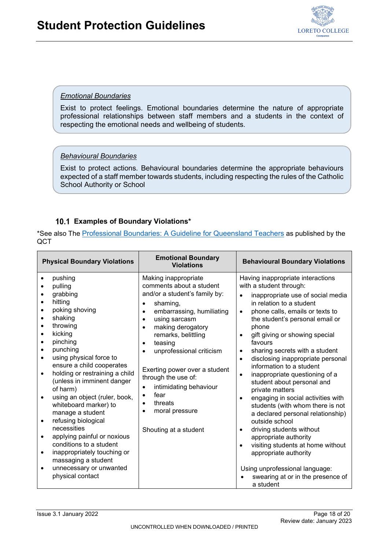

### *Emotional Boundaries*

Exist to protect feelings. Emotional boundaries determine the nature of appropriate professional relationships between staff members and a students in the context of respecting the emotional needs and wellbeing of students.

### *Behavioural Boundaries*

Exist to protect actions. Behavioural boundaries determine the appropriate behaviours expected of a staff member towards students, including respecting the rules of the Catholic School Authority or School

### **Examples of Boundary Violations\***

<span id="page-17-0"></span>\*See also The [Professional Boundaries: A Guideline for Queensland Teachers](file://qcec.qld.edu.au/Data/Corporate%20Services/Student%20Protection/CROSS%20SECTORIAL%20PROCESSES/The%20Professional%20Boundaries:%20A%20Guideline%20for%20Queensland%20Teachers) as published by the **QCT** 

| <b>Physical Boundary Violations</b>                                                                                                                                                                                                                                                                                                                                                                                                                                                                                                                                                                                                                                                 | <b>Emotional Boundary</b><br><b>Violations</b>                                                                                                                                                                                                                                                                                                                                                                                                                                         | <b>Behavioural Boundary Violations</b>                                                                                                                                                                                                                                                                                                                                                                                                                                                                                                                                                                                                                                                                                                                                                                                                                                             |
|-------------------------------------------------------------------------------------------------------------------------------------------------------------------------------------------------------------------------------------------------------------------------------------------------------------------------------------------------------------------------------------------------------------------------------------------------------------------------------------------------------------------------------------------------------------------------------------------------------------------------------------------------------------------------------------|----------------------------------------------------------------------------------------------------------------------------------------------------------------------------------------------------------------------------------------------------------------------------------------------------------------------------------------------------------------------------------------------------------------------------------------------------------------------------------------|------------------------------------------------------------------------------------------------------------------------------------------------------------------------------------------------------------------------------------------------------------------------------------------------------------------------------------------------------------------------------------------------------------------------------------------------------------------------------------------------------------------------------------------------------------------------------------------------------------------------------------------------------------------------------------------------------------------------------------------------------------------------------------------------------------------------------------------------------------------------------------|
| pushing<br>pulling<br>grabbing<br>hitting<br>$\bullet$<br>poking shoving<br>shaking<br>throwing<br>$\bullet$<br>kicking<br>$\bullet$<br>pinching<br>$\bullet$<br>punching<br>$\bullet$<br>using physical force to<br>$\bullet$<br>ensure a child cooperates<br>holding or restraining a child<br>$\bullet$<br>(unless in imminent danger<br>of harm)<br>using an object (ruler, book,<br>whiteboard marker) to<br>manage a student<br>refusing biological<br>٠<br>necessities<br>applying painful or noxious<br>$\bullet$<br>conditions to a student<br>inappropriately touching or<br>$\bullet$<br>massaging a student<br>unnecessary or unwanted<br>$\bullet$<br>physical contact | Making inappropriate<br>comments about a student<br>and/or a student's family by:<br>shaming,<br>$\bullet$<br>embarrassing, humiliating<br>$\bullet$<br>using sarcasm<br>$\bullet$<br>making derogatory<br>$\bullet$<br>remarks, belittling<br>teasing<br>$\bullet$<br>unprofessional criticism<br>Exerting power over a student<br>through the use of:<br>intimidating behaviour<br>$\bullet$<br>fear<br>$\bullet$<br>threats<br>$\bullet$<br>moral pressure<br>Shouting at a student | Having inappropriate interactions<br>with a student through:<br>inappropriate use of social media<br>in relation to a student<br>phone calls, emails or texts to<br>$\bullet$<br>the student's personal email or<br>phone<br>gift giving or showing special<br>$\bullet$<br>favours<br>sharing secrets with a student<br>$\bullet$<br>disclosing inappropriate personal<br>$\bullet$<br>information to a student<br>inappropriate questioning of a<br>$\bullet$<br>student about personal and<br>private matters<br>engaging in social activities with<br>$\bullet$<br>students (with whom there is not<br>a declared personal relationship)<br>outside school<br>driving students without<br>$\bullet$<br>appropriate authority<br>visiting students at home without<br>appropriate authority<br>Using unprofessional language:<br>swearing at or in the presence of<br>a student |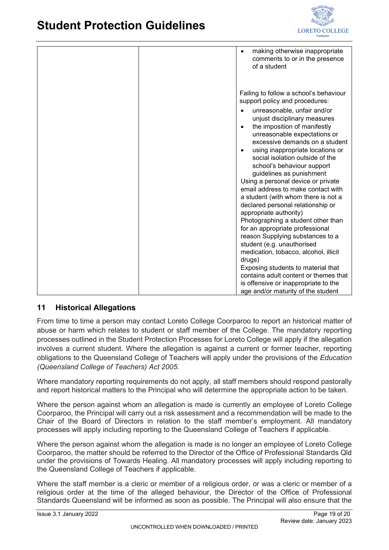

| making otherwise inappropriate<br>$\bullet$<br>comments to or in the presence<br>of a student                                                                                                                                                                                                                                                                                                                                                                                                                                                                                                                                                                                                                                                                                                                                                                                                                           |
|-------------------------------------------------------------------------------------------------------------------------------------------------------------------------------------------------------------------------------------------------------------------------------------------------------------------------------------------------------------------------------------------------------------------------------------------------------------------------------------------------------------------------------------------------------------------------------------------------------------------------------------------------------------------------------------------------------------------------------------------------------------------------------------------------------------------------------------------------------------------------------------------------------------------------|
| Failing to follow a school's behaviour<br>support policy and procedures:<br>unreasonable, unfair and/or<br>unjust disciplinary measures<br>the imposition of manifestly<br>unreasonable expectations or<br>excessive demands on a student<br>using inappropriate locations or<br>social isolation outside of the<br>school's behaviour support<br>guidelines as punishment<br>Using a personal device or private<br>email address to make contact with<br>a student (with whom there is not a<br>declared personal relationship or<br>appropriate authority)<br>Photographing a student other than<br>for an appropriate professional<br>reason Supplying substances to a<br>student (e.g. unauthorised<br>medication, tobacco, alcohol, illicit<br>drugs)<br>Exposing students to material that<br>contains adult content or themes that<br>is offensive or inappropriate to the<br>age and/or maturity of the student |

### <span id="page-18-0"></span>**11 Historical Allegations**

From time to time a person may contact Loreto College Coorparoo to report an historical matter of abuse or harm which relates to student or staff member of the College. The mandatory reporting processes outlined in the Student Protection Processes for Loreto College will apply if the allegation involves a current student. Where the allegation is against a current or former teacher, reporting obligations to the Queensland College of Teachers will apply under the provisions of the *Education (Queensland College of Teachers) Act 2005.*

Where mandatory reporting requirements do not apply, all staff members should respond pastorally and report historical matters to the Principal who will determine the appropriate action to be taken.

Where the person against whom an allegation is made is currently an employee of Loreto College Coorparoo, the Principal will carry out a risk assessment and a recommendation will be made to the Chair of the Board of Directors in relation to the staff member's employment. All mandatory processes will apply including reporting to the Queensland College of Teachers if applicable.

Where the person against whom the allegation is made is no longer an employee of Loreto College Coorparoo, the matter should be referred to the Director of the Office of Professional Standards Qld under the provisions of Towards Healing. All mandatory processes will apply including reporting to the Queensland College of Teachers if applicable.

Where the staff member is a cleric or member of a religious order, or was a cleric or member of a religious order at the time of the alleged behaviour, the Director of the Office of Professional Standards Queensland will be informed as soon as possible. The Principal will also ensure that the